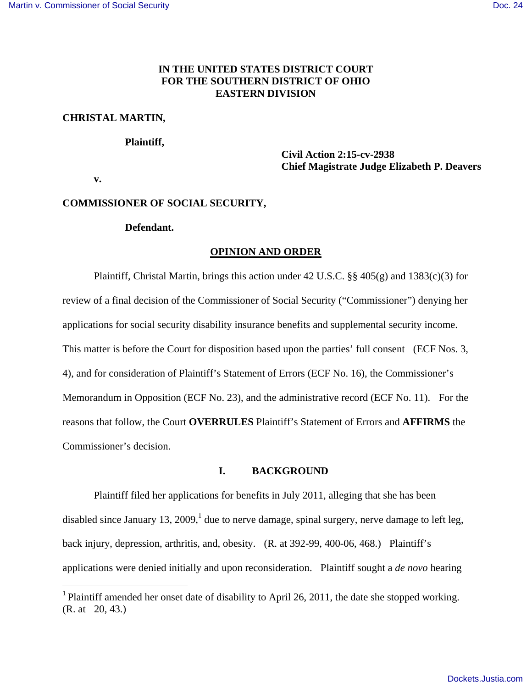# **IN THE UNITED STATES DISTRICT COURT FOR THE SOUTHERN DISTRICT OF OHIO EASTERN DIVISION**

# **CHRISTAL MARTIN,**

### **Plaintiff,**

# **Civil Action 2:15-cv-2938 Chief Magistrate Judge Elizabeth P. Deavers**

 **v.** 

<u>.</u>

# **COMMISSIONER OF SOCIAL SECURITY,**

### **Defendant.**

### **OPINION AND ORDER**

 Plaintiff, Christal Martin, brings this action under 42 U.S.C. §§ 405(g) and 1383(c)(3) for review of a final decision of the Commissioner of Social Security ("Commissioner") denying her applications for social security disability insurance benefits and supplemental security income. This matter is before the Court for disposition based upon the parties' full consent (ECF Nos. 3, 4), and for consideration of Plaintiff's Statement of Errors (ECF No. 16), the Commissioner's Memorandum in Opposition (ECF No. 23), and the administrative record (ECF No. 11). For the reasons that follow, the Court **OVERRULES** Plaintiff's Statement of Errors and **AFFIRMS** the Commissioner's decision.

### **I. BACKGROUND**

 Plaintiff filed her applications for benefits in July 2011, alleging that she has been disabled since January 13, 2009,<sup>1</sup> due to nerve damage, spinal surgery, nerve damage to left leg, back injury, depression, arthritis, and, obesity. (R. at 392-99, 400-06, 468.) Plaintiff's applications were denied initially and upon reconsideration. Plaintiff sought a *de novo* hearing

<sup>&</sup>lt;sup>1</sup> Plaintiff amended her onset date of disability to April 26, 2011, the date she stopped working. (R. at 20, 43.)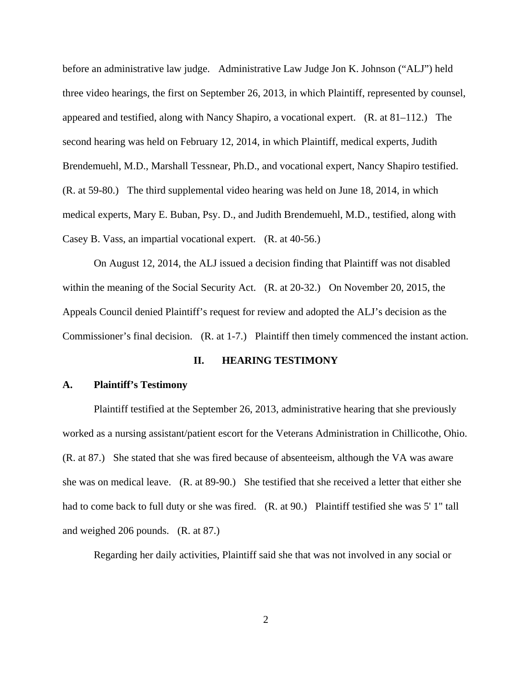before an administrative law judge. Administrative Law Judge Jon K. Johnson ("ALJ") held three video hearings, the first on September 26, 2013, in which Plaintiff, represented by counsel, appeared and testified, along with Nancy Shapiro, a vocational expert. (R. at 81–112.) The second hearing was held on February 12, 2014, in which Plaintiff, medical experts, Judith Brendemuehl, M.D., Marshall Tessnear, Ph.D., and vocational expert, Nancy Shapiro testified. (R. at 59-80.) The third supplemental video hearing was held on June 18, 2014, in which medical experts, Mary E. Buban, Psy. D., and Judith Brendemuehl, M.D., testified, along with Casey B. Vass, an impartial vocational expert. (R. at 40-56.)

 On August 12, 2014, the ALJ issued a decision finding that Plaintiff was not disabled within the meaning of the Social Security Act. (R. at 20-32.) On November 20, 2015, the Appeals Council denied Plaintiff's request for review and adopted the ALJ's decision as the Commissioner's final decision. (R. at 1-7.) Plaintiff then timely commenced the instant action.

# **II. HEARING TESTIMONY**

### **A. Plaintiff's Testimony**

Plaintiff testified at the September 26, 2013, administrative hearing that she previously worked as a nursing assistant/patient escort for the Veterans Administration in Chillicothe, Ohio. (R. at 87.) She stated that she was fired because of absenteeism, although the VA was aware she was on medical leave. (R. at 89-90.) She testified that she received a letter that either she had to come back to full duty or she was fired. (R. at 90.) Plaintiff testified she was 5' 1" tall and weighed 206 pounds. (R. at 87.)

Regarding her daily activities, Plaintiff said she that was not involved in any social or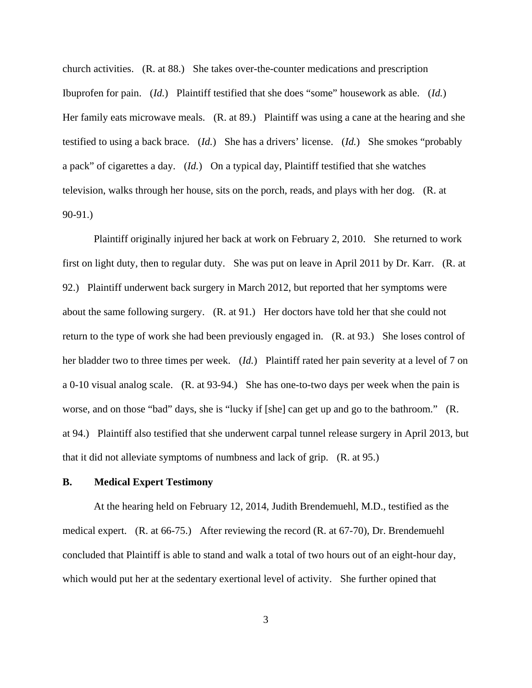church activities. (R. at 88.) She takes over-the-counter medications and prescription Ibuprofen for pain. (*Id.*) Plaintiff testified that she does "some" housework as able. (*Id.*) Her family eats microwave meals. (R. at 89.) Plaintiff was using a cane at the hearing and she testified to using a back brace. (*Id.*) She has a drivers' license. (*Id.*) She smokes "probably a pack" of cigarettes a day. (*Id.*) On a typical day, Plaintiff testified that she watches television, walks through her house, sits on the porch, reads, and plays with her dog. (R. at 90-91.)

 Plaintiff originally injured her back at work on February 2, 2010. She returned to work first on light duty, then to regular duty. She was put on leave in April 2011 by Dr. Karr. (R. at 92.) Plaintiff underwent back surgery in March 2012, but reported that her symptoms were about the same following surgery. (R. at 91.) Her doctors have told her that she could not return to the type of work she had been previously engaged in. (R. at 93.) She loses control of her bladder two to three times per week. (*Id.*) Plaintiff rated her pain severity at a level of 7 on a 0-10 visual analog scale. (R. at 93-94.) She has one-to-two days per week when the pain is worse, and on those "bad" days, she is "lucky if [she] can get up and go to the bathroom." (R. at 94.) Plaintiff also testified that she underwent carpal tunnel release surgery in April 2013, but that it did not alleviate symptoms of numbness and lack of grip. (R. at 95.)

# **B. Medical Expert Testimony**

At the hearing held on February 12, 2014, Judith Brendemuehl, M.D., testified as the medical expert. (R. at 66-75.) After reviewing the record (R. at 67-70), Dr. Brendemuehl concluded that Plaintiff is able to stand and walk a total of two hours out of an eight-hour day, which would put her at the sedentary exertional level of activity. She further opined that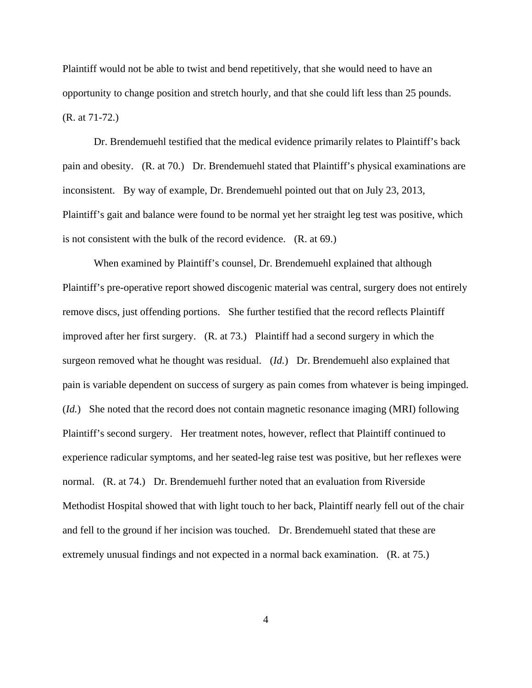Plaintiff would not be able to twist and bend repetitively, that she would need to have an opportunity to change position and stretch hourly, and that she could lift less than 25 pounds. (R. at 71-72.)

 Dr. Brendemuehl testified that the medical evidence primarily relates to Plaintiff's back pain and obesity. (R. at 70.) Dr. Brendemuehl stated that Plaintiff's physical examinations are inconsistent. By way of example, Dr. Brendemuehl pointed out that on July 23, 2013, Plaintiff's gait and balance were found to be normal yet her straight leg test was positive, which is not consistent with the bulk of the record evidence. (R. at 69.)

 When examined by Plaintiff's counsel, Dr. Brendemuehl explained that although Plaintiff's pre-operative report showed discogenic material was central, surgery does not entirely remove discs, just offending portions. She further testified that the record reflects Plaintiff improved after her first surgery. (R. at 73.) Plaintiff had a second surgery in which the surgeon removed what he thought was residual. (*Id.*) Dr. Brendemuehl also explained that pain is variable dependent on success of surgery as pain comes from whatever is being impinged. (*Id.*) She noted that the record does not contain magnetic resonance imaging (MRI) following Plaintiff's second surgery. Her treatment notes, however, reflect that Plaintiff continued to experience radicular symptoms, and her seated-leg raise test was positive, but her reflexes were normal. (R. at 74.) Dr. Brendemuehl further noted that an evaluation from Riverside Methodist Hospital showed that with light touch to her back, Plaintiff nearly fell out of the chair and fell to the ground if her incision was touched. Dr. Brendemuehl stated that these are extremely unusual findings and not expected in a normal back examination. (R. at 75.)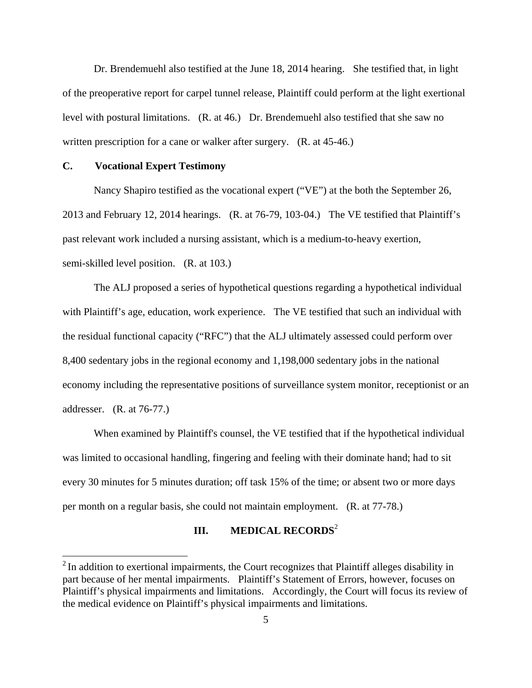Dr. Brendemuehl also testified at the June 18, 2014 hearing. She testified that, in light of the preoperative report for carpel tunnel release, Plaintiff could perform at the light exertional level with postural limitations. (R. at 46.) Dr. Brendemuehl also testified that she saw no written prescription for a cane or walker after surgery. (R. at 45-46.)

# **C. Vocational Expert Testimony**

<u>.</u>

 Nancy Shapiro testified as the vocational expert ("VE") at the both the September 26, 2013 and February 12, 2014 hearings. (R. at 76-79, 103-04.) The VE testified that Plaintiff's past relevant work included a nursing assistant, which is a medium-to-heavy exertion, semi-skilled level position. (R. at 103.)

 The ALJ proposed a series of hypothetical questions regarding a hypothetical individual with Plaintiff's age, education, work experience. The VE testified that such an individual with the residual functional capacity ("RFC") that the ALJ ultimately assessed could perform over 8,400 sedentary jobs in the regional economy and 1,198,000 sedentary jobs in the national economy including the representative positions of surveillance system monitor, receptionist or an addresser. (R. at 76-77.)

 When examined by Plaintiff's counsel, the VE testified that if the hypothetical individual was limited to occasional handling, fingering and feeling with their dominate hand; had to sit every 30 minutes for 5 minutes duration; off task 15% of the time; or absent two or more days per month on a regular basis, she could not maintain employment. (R. at 77-78.)

# **III.** MEDICAL RECORDS<sup>2</sup>

 $2$ In addition to exertional impairments, the Court recognizes that Plaintiff alleges disability in part because of her mental impairments. Plaintiff's Statement of Errors, however, focuses on Plaintiff's physical impairments and limitations. Accordingly, the Court will focus its review of the medical evidence on Plaintiff's physical impairments and limitations.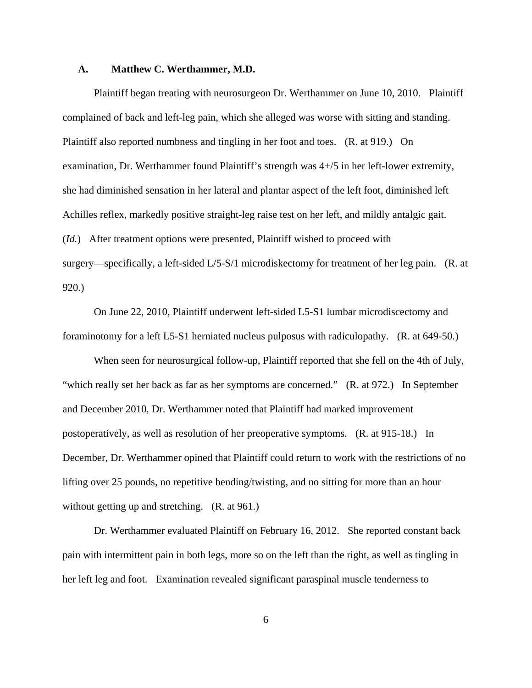## **A. Matthew C. Werthammer, M.D.**

Plaintiff began treating with neurosurgeon Dr. Werthammer on June 10, 2010. Plaintiff complained of back and left-leg pain, which she alleged was worse with sitting and standing. Plaintiff also reported numbness and tingling in her foot and toes. (R. at 919.) On examination, Dr. Werthammer found Plaintiff's strength was 4+/5 in her left-lower extremity, she had diminished sensation in her lateral and plantar aspect of the left foot, diminished left Achilles reflex, markedly positive straight-leg raise test on her left, and mildly antalgic gait. (*Id.*) After treatment options were presented, Plaintiff wished to proceed with surgery—specifically, a left-sided L/5-S/1 microdiskectomy for treatment of her leg pain. (R. at 920.)

 On June 22, 2010, Plaintiff underwent left-sided L5-S1 lumbar microdiscectomy and foraminotomy for a left L5-S1 herniated nucleus pulposus with radiculopathy. (R. at 649-50.)

 When seen for neurosurgical follow-up, Plaintiff reported that she fell on the 4th of July, "which really set her back as far as her symptoms are concerned." (R. at 972.) In September and December 2010, Dr. Werthammer noted that Plaintiff had marked improvement postoperatively, as well as resolution of her preoperative symptoms. (R. at 915-18.) In December, Dr. Werthammer opined that Plaintiff could return to work with the restrictions of no lifting over 25 pounds, no repetitive bending/twisting, and no sitting for more than an hour without getting up and stretching. (R. at 961.)

 Dr. Werthammer evaluated Plaintiff on February 16, 2012. She reported constant back pain with intermittent pain in both legs, more so on the left than the right, as well as tingling in her left leg and foot. Examination revealed significant paraspinal muscle tenderness to

 $\sim$  6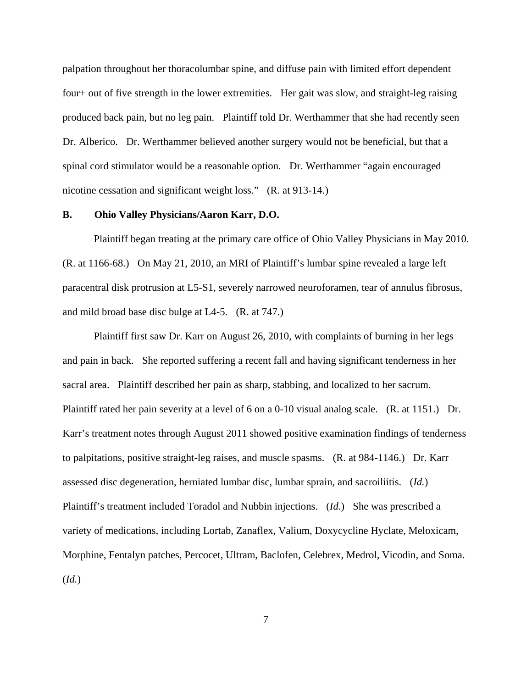palpation throughout her thoracolumbar spine, and diffuse pain with limited effort dependent four+ out of five strength in the lower extremities. Her gait was slow, and straight-leg raising produced back pain, but no leg pain. Plaintiff told Dr. Werthammer that she had recently seen Dr. Alberico. Dr. Werthammer believed another surgery would not be beneficial, but that a spinal cord stimulator would be a reasonable option. Dr. Werthammer "again encouraged nicotine cessation and significant weight loss." (R. at 913-14.)

# **B. Ohio Valley Physicians/Aaron Karr, D.O.**

 Plaintiff began treating at the primary care office of Ohio Valley Physicians in May 2010. (R. at 1166-68.) On May 21, 2010, an MRI of Plaintiff's lumbar spine revealed a large left paracentral disk protrusion at L5-S1, severely narrowed neuroforamen, tear of annulus fibrosus, and mild broad base disc bulge at L4-5. (R. at 747.)

 Plaintiff first saw Dr. Karr on August 26, 2010, with complaints of burning in her legs and pain in back. She reported suffering a recent fall and having significant tenderness in her sacral area. Plaintiff described her pain as sharp, stabbing, and localized to her sacrum. Plaintiff rated her pain severity at a level of 6 on a 0-10 visual analog scale. (R. at 1151.) Dr. Karr's treatment notes through August 2011 showed positive examination findings of tenderness to palpitations, positive straight-leg raises, and muscle spasms. (R. at 984-1146.) Dr. Karr assessed disc degeneration, herniated lumbar disc, lumbar sprain, and sacroiliitis. (*Id.*) Plaintiff's treatment included Toradol and Nubbin injections. (*Id.*) She was prescribed a variety of medications, including Lortab, Zanaflex, Valium, Doxycycline Hyclate, Meloxicam, Morphine, Fentalyn patches, Percocet, Ultram, Baclofen, Celebrex, Medrol, Vicodin, and Soma. (*Id.*)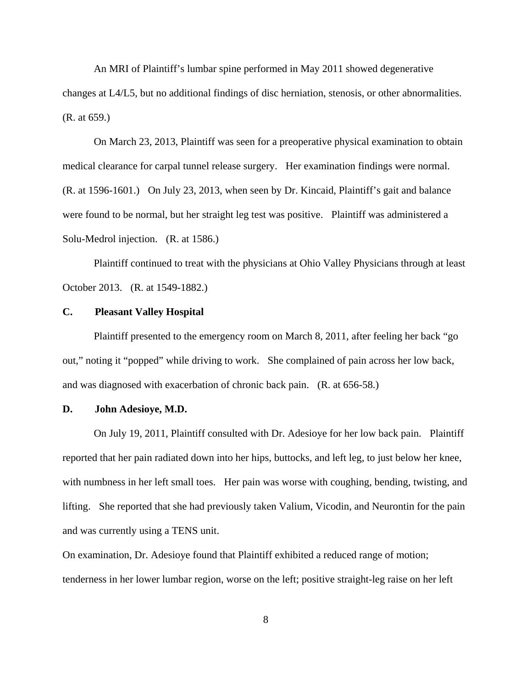An MRI of Plaintiff's lumbar spine performed in May 2011 showed degenerative changes at L4/L5, but no additional findings of disc herniation, stenosis, or other abnormalities. (R. at 659.)

 On March 23, 2013, Plaintiff was seen for a preoperative physical examination to obtain medical clearance for carpal tunnel release surgery. Her examination findings were normal. (R. at 1596-1601.) On July 23, 2013, when seen by Dr. Kincaid, Plaintiff's gait and balance were found to be normal, but her straight leg test was positive. Plaintiff was administered a Solu-Medrol injection. (R. at 1586.)

 Plaintiff continued to treat with the physicians at Ohio Valley Physicians through at least October 2013. (R. at 1549-1882.)

# **C. Pleasant Valley Hospital**

 Plaintiff presented to the emergency room on March 8, 2011, after feeling her back "go out," noting it "popped" while driving to work. She complained of pain across her low back, and was diagnosed with exacerbation of chronic back pain. (R. at 656-58.)

### **D. John Adesioye, M.D.**

 On July 19, 2011, Plaintiff consulted with Dr. Adesioye for her low back pain. Plaintiff reported that her pain radiated down into her hips, buttocks, and left leg, to just below her knee, with numbness in her left small toes. Her pain was worse with coughing, bending, twisting, and lifting. She reported that she had previously taken Valium, Vicodin, and Neurontin for the pain and was currently using a TENS unit.

On examination, Dr. Adesioye found that Plaintiff exhibited a reduced range of motion; tenderness in her lower lumbar region, worse on the left; positive straight-leg raise on her left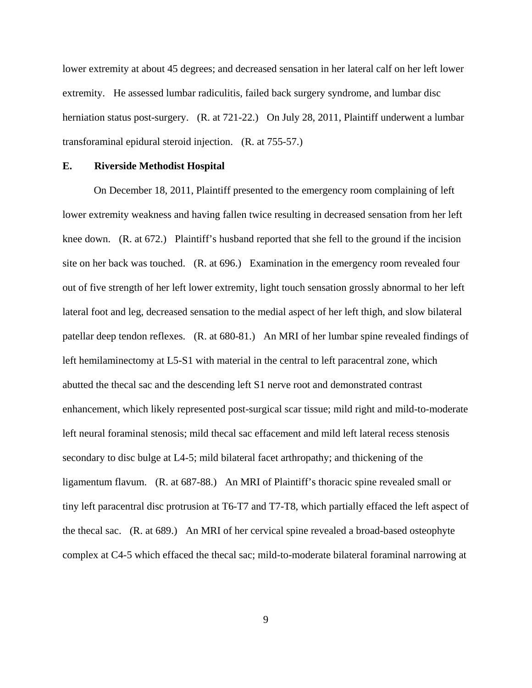lower extremity at about 45 degrees; and decreased sensation in her lateral calf on her left lower extremity. He assessed lumbar radiculitis, failed back surgery syndrome, and lumbar disc herniation status post-surgery. (R. at 721-22.) On July 28, 2011, Plaintiff underwent a lumbar transforaminal epidural steroid injection. (R. at 755-57.)

### **E. Riverside Methodist Hospital**

 On December 18, 2011, Plaintiff presented to the emergency room complaining of left lower extremity weakness and having fallen twice resulting in decreased sensation from her left knee down. (R. at 672.) Plaintiff's husband reported that she fell to the ground if the incision site on her back was touched. (R. at 696.) Examination in the emergency room revealed four out of five strength of her left lower extremity, light touch sensation grossly abnormal to her left lateral foot and leg, decreased sensation to the medial aspect of her left thigh, and slow bilateral patellar deep tendon reflexes. (R. at 680-81.) An MRI of her lumbar spine revealed findings of left hemilaminectomy at L5-S1 with material in the central to left paracentral zone, which abutted the thecal sac and the descending left S1 nerve root and demonstrated contrast enhancement, which likely represented post-surgical scar tissue; mild right and mild-to-moderate left neural foraminal stenosis; mild thecal sac effacement and mild left lateral recess stenosis secondary to disc bulge at L4-5; mild bilateral facet arthropathy; and thickening of the ligamentum flavum. (R. at 687-88.) An MRI of Plaintiff's thoracic spine revealed small or tiny left paracentral disc protrusion at T6-T7 and T7-T8, which partially effaced the left aspect of the thecal sac. (R. at 689.) An MRI of her cervical spine revealed a broad-based osteophyte complex at C4-5 which effaced the thecal sac; mild-to-moderate bilateral foraminal narrowing at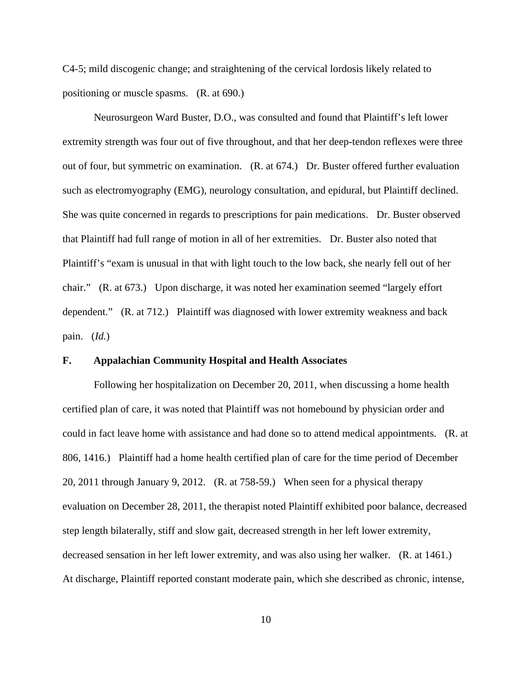C4-5; mild discogenic change; and straightening of the cervical lordosis likely related to positioning or muscle spasms. (R. at 690.)

 Neurosurgeon Ward Buster, D.O., was consulted and found that Plaintiff's left lower extremity strength was four out of five throughout, and that her deep-tendon reflexes were three out of four, but symmetric on examination. (R. at 674.) Dr. Buster offered further evaluation such as electromyography (EMG), neurology consultation, and epidural, but Plaintiff declined. She was quite concerned in regards to prescriptions for pain medications. Dr. Buster observed that Plaintiff had full range of motion in all of her extremities. Dr. Buster also noted that Plaintiff's "exam is unusual in that with light touch to the low back, she nearly fell out of her chair." (R. at 673.) Upon discharge, it was noted her examination seemed "largely effort dependent." (R. at 712.) Plaintiff was diagnosed with lower extremity weakness and back pain. (*Id.*)

# **F. Appalachian Community Hospital and Health Associates**

 Following her hospitalization on December 20, 2011, when discussing a home health certified plan of care, it was noted that Plaintiff was not homebound by physician order and could in fact leave home with assistance and had done so to attend medical appointments. (R. at 806, 1416.) Plaintiff had a home health certified plan of care for the time period of December 20, 2011 through January 9, 2012. (R. at 758-59.) When seen for a physical therapy evaluation on December 28, 2011, the therapist noted Plaintiff exhibited poor balance, decreased step length bilaterally, stiff and slow gait, decreased strength in her left lower extremity, decreased sensation in her left lower extremity, and was also using her walker. (R. at 1461.) At discharge, Plaintiff reported constant moderate pain, which she described as chronic, intense,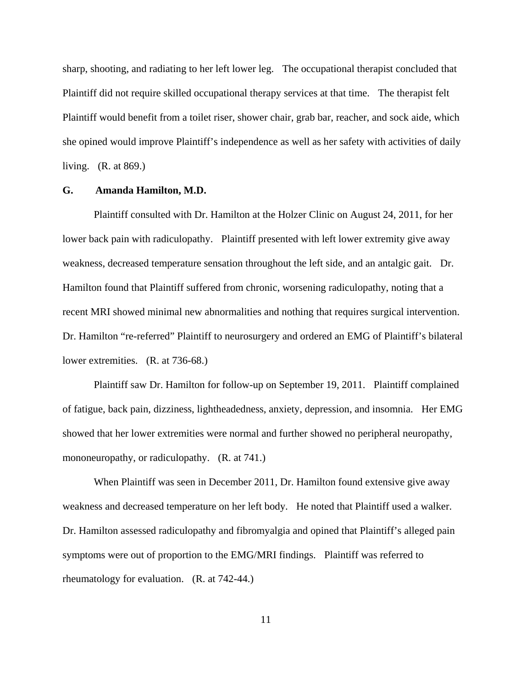sharp, shooting, and radiating to her left lower leg. The occupational therapist concluded that Plaintiff did not require skilled occupational therapy services at that time. The therapist felt Plaintiff would benefit from a toilet riser, shower chair, grab bar, reacher, and sock aide, which she opined would improve Plaintiff's independence as well as her safety with activities of daily living. (R. at 869.)

# **G. Amanda Hamilton, M.D.**

 Plaintiff consulted with Dr. Hamilton at the Holzer Clinic on August 24, 2011, for her lower back pain with radiculopathy. Plaintiff presented with left lower extremity give away weakness, decreased temperature sensation throughout the left side, and an antalgic gait. Dr. Hamilton found that Plaintiff suffered from chronic, worsening radiculopathy, noting that a recent MRI showed minimal new abnormalities and nothing that requires surgical intervention. Dr. Hamilton "re-referred" Plaintiff to neurosurgery and ordered an EMG of Plaintiff's bilateral lower extremities. (R. at 736-68.)

 Plaintiff saw Dr. Hamilton for follow-up on September 19, 2011. Plaintiff complained of fatigue, back pain, dizziness, lightheadedness, anxiety, depression, and insomnia. Her EMG showed that her lower extremities were normal and further showed no peripheral neuropathy, mononeuropathy, or radiculopathy. (R. at 741.)

 When Plaintiff was seen in December 2011, Dr. Hamilton found extensive give away weakness and decreased temperature on her left body. He noted that Plaintiff used a walker. Dr. Hamilton assessed radiculopathy and fibromyalgia and opined that Plaintiff's alleged pain symptoms were out of proportion to the EMG/MRI findings. Plaintiff was referred to rheumatology for evaluation. (R. at 742-44.)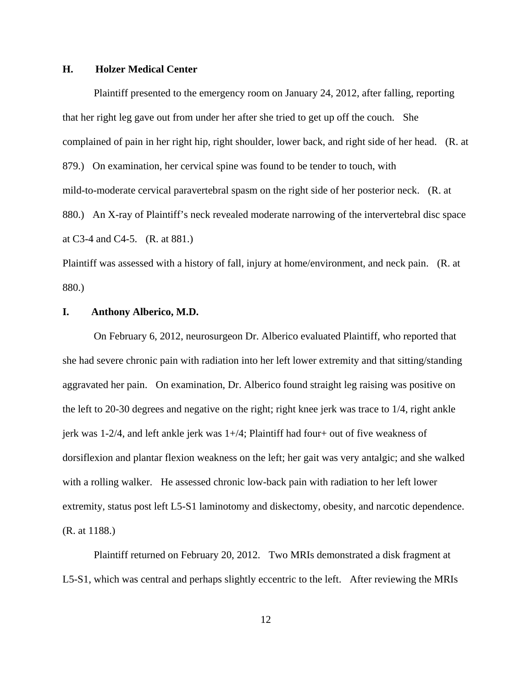# **H. Holzer Medical Center**

 Plaintiff presented to the emergency room on January 24, 2012, after falling, reporting that her right leg gave out from under her after she tried to get up off the couch. She complained of pain in her right hip, right shoulder, lower back, and right side of her head. (R. at 879.) On examination, her cervical spine was found to be tender to touch, with mild-to-moderate cervical paravertebral spasm on the right side of her posterior neck. (R. at 880.) An X-ray of Plaintiff's neck revealed moderate narrowing of the intervertebral disc space at C3-4 and C4-5. (R. at 881.)

Plaintiff was assessed with a history of fall, injury at home/environment, and neck pain. (R. at 880.)

# **I. Anthony Alberico, M.D.**

 On February 6, 2012, neurosurgeon Dr. Alberico evaluated Plaintiff, who reported that she had severe chronic pain with radiation into her left lower extremity and that sitting/standing aggravated her pain. On examination, Dr. Alberico found straight leg raising was positive on the left to 20-30 degrees and negative on the right; right knee jerk was trace to 1/4, right ankle jerk was 1-2/4, and left ankle jerk was 1+/4; Plaintiff had four+ out of five weakness of dorsiflexion and plantar flexion weakness on the left; her gait was very antalgic; and she walked with a rolling walker. He assessed chronic low-back pain with radiation to her left lower extremity, status post left L5-S1 laminotomy and diskectomy, obesity, and narcotic dependence. (R. at 1188.)

 Plaintiff returned on February 20, 2012. Two MRIs demonstrated a disk fragment at L5-S1, which was central and perhaps slightly eccentric to the left. After reviewing the MRIs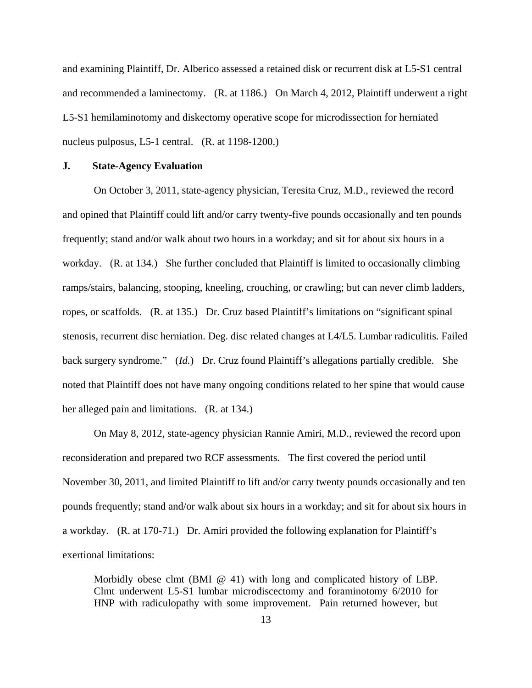and examining Plaintiff, Dr. Alberico assessed a retained disk or recurrent disk at L5-S1 central and recommended a laminectomy. (R. at 1186.) On March 4, 2012, Plaintiff underwent a right L5-S1 hemilaminotomy and diskectomy operative scope for microdissection for herniated nucleus pulposus, L5-1 central. (R. at 1198-1200.)

# **J. State-Agency Evaluation**

 On October 3, 2011, state-agency physician, Teresita Cruz, M.D., reviewed the record and opined that Plaintiff could lift and/or carry twenty-five pounds occasionally and ten pounds frequently; stand and/or walk about two hours in a workday; and sit for about six hours in a workday. (R. at 134.) She further concluded that Plaintiff is limited to occasionally climbing ramps/stairs, balancing, stooping, kneeling, crouching, or crawling; but can never climb ladders, ropes, or scaffolds. (R. at 135.) Dr. Cruz based Plaintiff's limitations on "significant spinal stenosis, recurrent disc herniation. Deg. disc related changes at L4/L5. Lumbar radiculitis. Failed back surgery syndrome." (*Id.*) Dr. Cruz found Plaintiff's allegations partially credible. She noted that Plaintiff does not have many ongoing conditions related to her spine that would cause her alleged pain and limitations. (R. at 134.)

 On May 8, 2012, state-agency physician Rannie Amiri, M.D., reviewed the record upon reconsideration and prepared two RCF assessments. The first covered the period until November 30, 2011, and limited Plaintiff to lift and/or carry twenty pounds occasionally and ten pounds frequently; stand and/or walk about six hours in a workday; and sit for about six hours in a workday. (R. at 170-71.) Dr. Amiri provided the following explanation for Plaintiff's exertional limitations:

Morbidly obese clmt (BMI  $\omega$  41) with long and complicated history of LBP. Clmt underwent L5-S1 lumbar microdiscectomy and foraminotomy 6/2010 for HNP with radiculopathy with some improvement. Pain returned however, but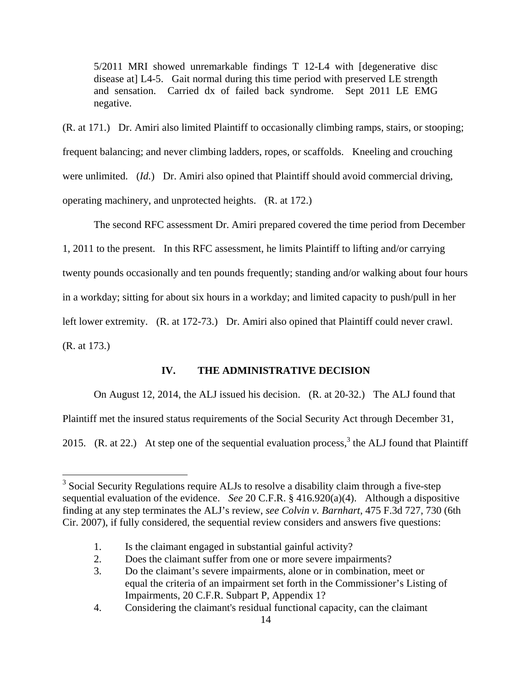5/2011 MRI showed unremarkable findings T 12-L4 with [degenerative disc disease at] L4-5. Gait normal during this time period with preserved LE strength and sensation. Carried dx of failed back syndrome. Sept 2011 LE EMG negative.

(R. at 171.) Dr. Amiri also limited Plaintiff to occasionally climbing ramps, stairs, or stooping; frequent balancing; and never climbing ladders, ropes, or scaffolds. Kneeling and crouching were unlimited. (*Id.*) Dr. Amiri also opined that Plaintiff should avoid commercial driving, operating machinery, and unprotected heights. (R. at 172.)

 The second RFC assessment Dr. Amiri prepared covered the time period from December 1, 2011 to the present. In this RFC assessment, he limits Plaintiff to lifting and/or carrying twenty pounds occasionally and ten pounds frequently; standing and/or walking about four hours in a workday; sitting for about six hours in a workday; and limited capacity to push/pull in her left lower extremity. (R. at 172-73.) Dr. Amiri also opined that Plaintiff could never crawl. (R. at 173.)

# **IV. THE ADMINISTRATIVE DECISION**

On August 12, 2014, the ALJ issued his decision. (R. at 20-32.) The ALJ found that

Plaintiff met the insured status requirements of the Social Security Act through December 31,

2015. (R. at 22.) At step one of the sequential evaluation process,<sup>3</sup> the ALJ found that Plaintiff

 $\overline{a}$ 

 $3$  Social Security Regulations require ALJs to resolve a disability claim through a five-step sequential evaluation of the evidence. *See* 20 C.F.R. § 416.920(a)(4). Although a dispositive finding at any step terminates the ALJ's review, *see Colvin v. Barnhart*, 475 F.3d 727, 730 (6th Cir. 2007), if fully considered, the sequential review considers and answers five questions:

 <sup>1.</sup> Is the claimant engaged in substantial gainful activity?

 <sup>2.</sup> Does the claimant suffer from one or more severe impairments?

 <sup>3.</sup> Do the claimant's severe impairments, alone or in combination, meet or equal the criteria of an impairment set forth in the Commissioner's Listing of Impairments, 20 C.F.R. Subpart P, Appendix 1?

 <sup>4.</sup> Considering the claimant's residual functional capacity, can the claimant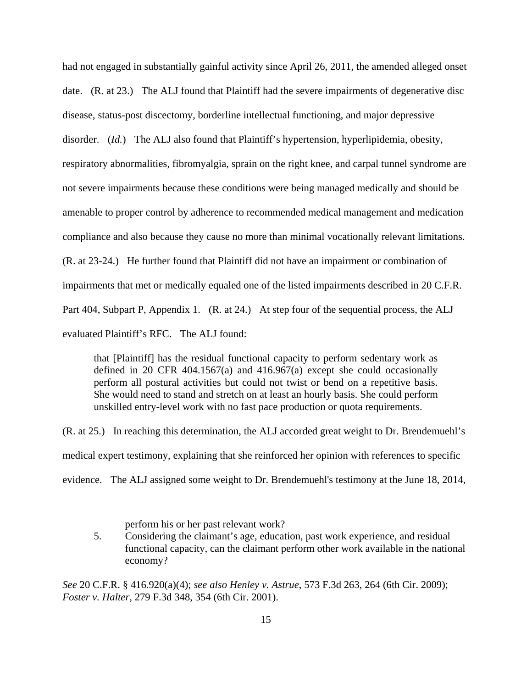had not engaged in substantially gainful activity since April 26, 2011, the amended alleged onset date. (R. at 23.) The ALJ found that Plaintiff had the severe impairments of degenerative disc disease, status-post discectomy, borderline intellectual functioning, and major depressive disorder. (*Id.*) The ALJ also found that Plaintiff's hypertension, hyperlipidemia, obesity, respiratory abnormalities, fibromyalgia, sprain on the right knee, and carpal tunnel syndrome are not severe impairments because these conditions were being managed medically and should be amenable to proper control by adherence to recommended medical management and medication compliance and also because they cause no more than minimal vocationally relevant limitations. (R. at 23-24.) He further found that Plaintiff did not have an impairment or combination of impairments that met or medically equaled one of the listed impairments described in 20 C.F.R. Part 404, Subpart P, Appendix 1. (R. at 24.) At step four of the sequential process, the ALJ evaluated Plaintiff's RFC. The ALJ found:

that [Plaintiff] has the residual functional capacity to perform sedentary work as defined in 20 CFR 404.1567(a) and 416.967(a) except she could occasionally perform all postural activities but could not twist or bend on a repetitive basis. She would need to stand and stretch on at least an hourly basis. She could perform unskilled entry-level work with no fast pace production or quota requirements.

(R. at 25.) In reaching this determination, the ALJ accorded great weight to Dr. Brendemuehl's medical expert testimony, explaining that she reinforced her opinion with references to specific evidence. The ALJ assigned some weight to Dr. Brendemuehl's testimony at the June 18, 2014,

perform his or her past relevant work?

<u>.</u>

*See* 20 C.F.R. § 416.920(a)(4); *see also Henley v. Astrue*, 573 F.3d 263, 264 (6th Cir. 2009); *Foster v. Halter*, 279 F.3d 348, 354 (6th Cir. 2001).

 <sup>5.</sup> Considering the claimant's age, education, past work experience, and residual functional capacity, can the claimant perform other work available in the national economy?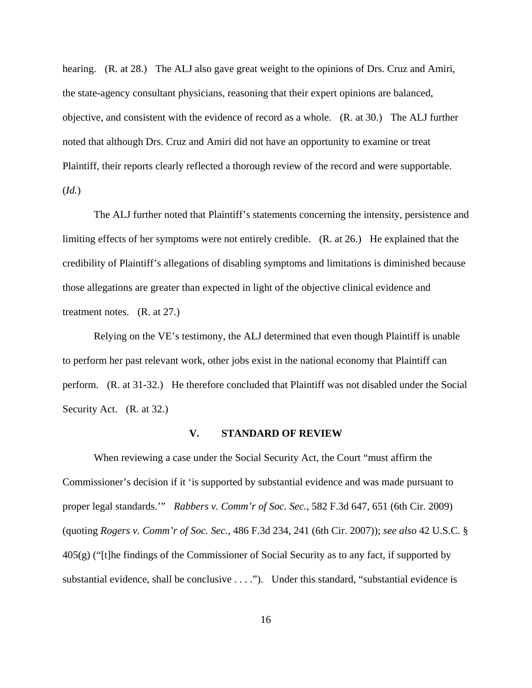hearing. (R. at 28.) The ALJ also gave great weight to the opinions of Drs. Cruz and Amiri, the state-agency consultant physicians, reasoning that their expert opinions are balanced, objective, and consistent with the evidence of record as a whole. (R. at 30.) The ALJ further noted that although Drs. Cruz and Amiri did not have an opportunity to examine or treat Plaintiff, their reports clearly reflected a thorough review of the record and were supportable. (*Id.*)

 The ALJ further noted that Plaintiff's statements concerning the intensity, persistence and limiting effects of her symptoms were not entirely credible. (R. at 26.) He explained that the credibility of Plaintiff's allegations of disabling symptoms and limitations is diminished because those allegations are greater than expected in light of the objective clinical evidence and treatment notes. (R. at 27.)

 Relying on the VE's testimony, the ALJ determined that even though Plaintiff is unable to perform her past relevant work, other jobs exist in the national economy that Plaintiff can perform. (R. at 31-32.) He therefore concluded that Plaintiff was not disabled under the Social Security Act. (R. at 32.)

### **V. STANDARD OF REVIEW**

When reviewing a case under the Social Security Act, the Court "must affirm the Commissioner's decision if it 'is supported by substantial evidence and was made pursuant to proper legal standards.'" *Rabbers v. Comm'r of Soc. Sec.*, 582 F.3d 647, 651 (6th Cir. 2009) (quoting *Rogers v. Comm'r of Soc. Sec.*, 486 F.3d 234, 241 (6th Cir. 2007)); *see also* 42 U.S.C. § 405(g) ("[t]he findings of the Commissioner of Social Security as to any fact, if supported by substantial evidence, shall be conclusive . . . ."). Under this standard, "substantial evidence is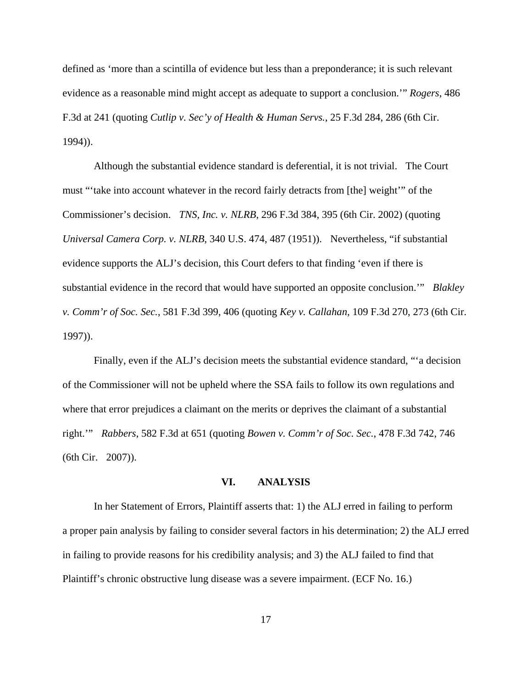defined as 'more than a scintilla of evidence but less than a preponderance; it is such relevant evidence as a reasonable mind might accept as adequate to support a conclusion.'" *Rogers*, 486 F.3d at 241 (quoting *Cutlip v. Sec'y of Health & Human Servs.*, 25 F.3d 284, 286 (6th Cir. 1994)).

 Although the substantial evidence standard is deferential, it is not trivial. The Court must "'take into account whatever in the record fairly detracts from [the] weight'" of the Commissioner's decision. *TNS, Inc. v. NLRB*, 296 F.3d 384, 395 (6th Cir. 2002) (quoting *Universal Camera Corp. v. NLRB*, 340 U.S. 474, 487 (1951)). Nevertheless, "if substantial evidence supports the ALJ's decision, this Court defers to that finding 'even if there is substantial evidence in the record that would have supported an opposite conclusion.'" *Blakley v. Comm'r of Soc. Sec.*, 581 F.3d 399, 406 (quoting *Key v. Callahan*, 109 F.3d 270, 273 (6th Cir. 1997)).

 Finally, even if the ALJ's decision meets the substantial evidence standard, "'a decision of the Commissioner will not be upheld where the SSA fails to follow its own regulations and where that error prejudices a claimant on the merits or deprives the claimant of a substantial right.'" *Rabbers*, 582 F.3d at 651 (quoting *Bowen v. Comm'r of Soc. Sec.*, 478 F.3d 742, 746 (6th Cir. 2007)).

### **VI. ANALYSIS**

 In her Statement of Errors, Plaintiff asserts that: 1) the ALJ erred in failing to perform a proper pain analysis by failing to consider several factors in his determination; 2) the ALJ erred in failing to provide reasons for his credibility analysis; and 3) the ALJ failed to find that Plaintiff's chronic obstructive lung disease was a severe impairment. (ECF No. 16.)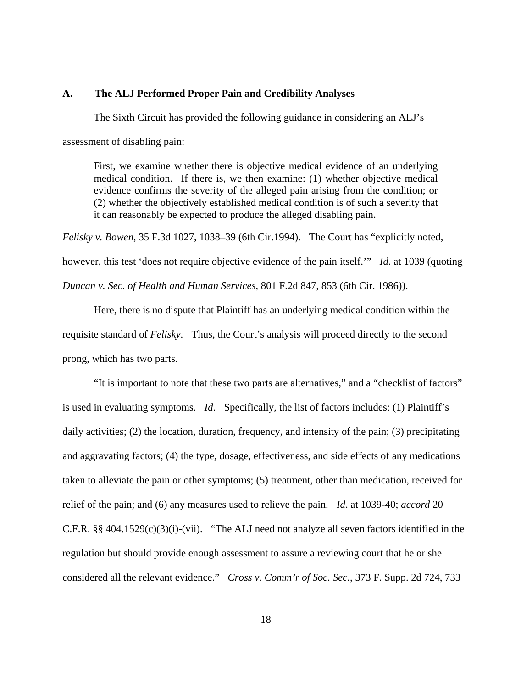### **A. The ALJ Performed Proper Pain and Credibility Analyses**

The Sixth Circuit has provided the following guidance in considering an ALJ's assessment of disabling pain:

First, we examine whether there is objective medical evidence of an underlying medical condition. If there is, we then examine: (1) whether objective medical evidence confirms the severity of the alleged pain arising from the condition; or (2) whether the objectively established medical condition is of such a severity that it can reasonably be expected to produce the alleged disabling pain.

*Felisky v. Bowen*, 35 F.3d 1027, 1038–39 (6th Cir.1994). The Court has "explicitly noted, however, this test 'does not require objective evidence of the pain itself.'" *Id*. at 1039 (quoting *Duncan v. Sec. of Health and Human Services*, 801 F.2d 847, 853 (6th Cir. 1986)).

Here, there is no dispute that Plaintiff has an underlying medical condition within the requisite standard of *Felisky*. Thus, the Court's analysis will proceed directly to the second prong, which has two parts.

"It is important to note that these two parts are alternatives," and a "checklist of factors" is used in evaluating symptoms. *Id*. Specifically, the list of factors includes: (1) Plaintiff's daily activities; (2) the location, duration, frequency, and intensity of the pain; (3) precipitating and aggravating factors; (4) the type, dosage, effectiveness, and side effects of any medications taken to alleviate the pain or other symptoms; (5) treatment, other than medication, received for relief of the pain; and (6) any measures used to relieve the pain. *Id*. at 1039-40; *accord* 20 C.F.R. §§ 404.1529(c)(3)(i)-(vii). "The ALJ need not analyze all seven factors identified in the regulation but should provide enough assessment to assure a reviewing court that he or she considered all the relevant evidence." *Cross v. Comm'r of Soc. Sec.*, 373 F. Supp. 2d 724, 733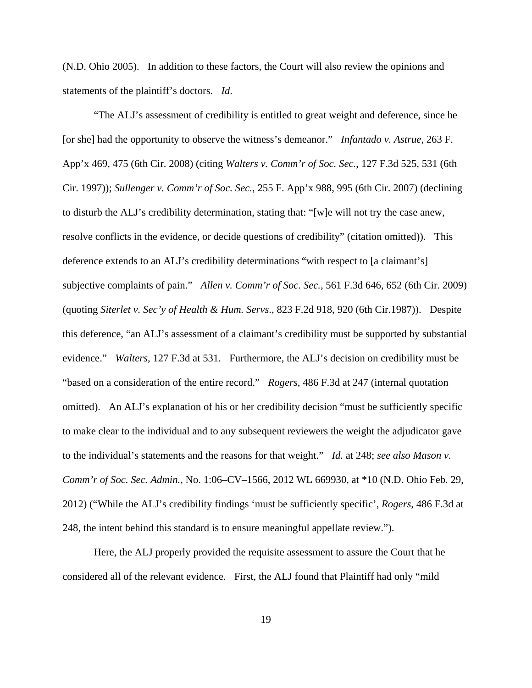(N.D. Ohio 2005). In addition to these factors, the Court will also review the opinions and statements of the plaintiff's doctors. *Id*.

"The ALJ's assessment of credibility is entitled to great weight and deference, since he [or she] had the opportunity to observe the witness's demeanor." *Infantado v. Astrue*, 263 F. App'x 469, 475 (6th Cir. 2008) (citing *Walters v. Comm'r of Soc. Sec.*, 127 F.3d 525, 531 (6th Cir. 1997)); *Sullenger v. Comm'r of Soc. Sec.*, 255 F. App'x 988, 995 (6th Cir. 2007) (declining to disturb the ALJ's credibility determination, stating that: "[w]e will not try the case anew, resolve conflicts in the evidence, or decide questions of credibility" (citation omitted)). This deference extends to an ALJ's credibility determinations "with respect to [a claimant's] subjective complaints of pain." *Allen v. Comm'r of Soc. Sec.*, 561 F.3d 646, 652 (6th Cir. 2009) (quoting *Siterlet v. Sec'y of Health & Hum. Servs*., 823 F.2d 918, 920 (6th Cir.1987)). Despite this deference, "an ALJ's assessment of a claimant's credibility must be supported by substantial evidence." *Walters*, 127 F.3d at 531. Furthermore, the ALJ's decision on credibility must be "based on a consideration of the entire record." *Rogers*, 486 F.3d at 247 (internal quotation omitted). An ALJ's explanation of his or her credibility decision "must be sufficiently specific to make clear to the individual and to any subsequent reviewers the weight the adjudicator gave to the individual's statements and the reasons for that weight." *Id.* at 248; *see also Mason v. Comm'r of Soc. Sec. Admin.*, No. 1:06–CV–1566, 2012 WL 669930, at \*10 (N.D. Ohio Feb. 29, 2012) ("While the ALJ's credibility findings 'must be sufficiently specific', *Rogers*, 486 F.3d at 248, the intent behind this standard is to ensure meaningful appellate review.").

Here, the ALJ properly provided the requisite assessment to assure the Court that he considered all of the relevant evidence. First, the ALJ found that Plaintiff had only "mild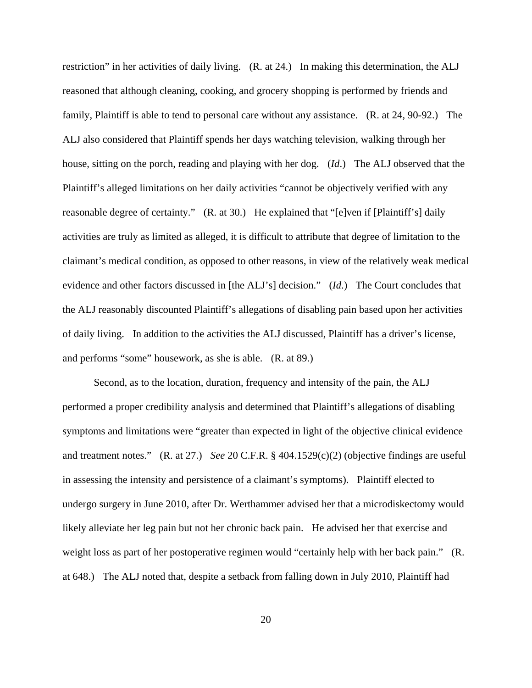restriction" in her activities of daily living. (R. at 24.) In making this determination, the ALJ reasoned that although cleaning, cooking, and grocery shopping is performed by friends and family, Plaintiff is able to tend to personal care without any assistance. (R. at 24, 90-92.) The ALJ also considered that Plaintiff spends her days watching television, walking through her house, sitting on the porch, reading and playing with her dog. (*Id*.) The ALJ observed that the Plaintiff's alleged limitations on her daily activities "cannot be objectively verified with any reasonable degree of certainty." (R. at 30.) He explained that "[e]ven if [Plaintiff's] daily activities are truly as limited as alleged, it is difficult to attribute that degree of limitation to the claimant's medical condition, as opposed to other reasons, in view of the relatively weak medical evidence and other factors discussed in [the ALJ's] decision." (*Id*.) The Court concludes that the ALJ reasonably discounted Plaintiff's allegations of disabling pain based upon her activities of daily living. In addition to the activities the ALJ discussed, Plaintiff has a driver's license, and performs "some" housework, as she is able. (R. at 89.)

Second, as to the location, duration, frequency and intensity of the pain, the ALJ performed a proper credibility analysis and determined that Plaintiff's allegations of disabling symptoms and limitations were "greater than expected in light of the objective clinical evidence and treatment notes." (R. at 27.) *See* 20 C.F.R. § 404.1529(c)(2) (objective findings are useful in assessing the intensity and persistence of a claimant's symptoms). Plaintiff elected to undergo surgery in June 2010, after Dr. Werthammer advised her that a microdiskectomy would likely alleviate her leg pain but not her chronic back pain. He advised her that exercise and weight loss as part of her postoperative regimen would "certainly help with her back pain." (R. at 648.) The ALJ noted that, despite a setback from falling down in July 2010, Plaintiff had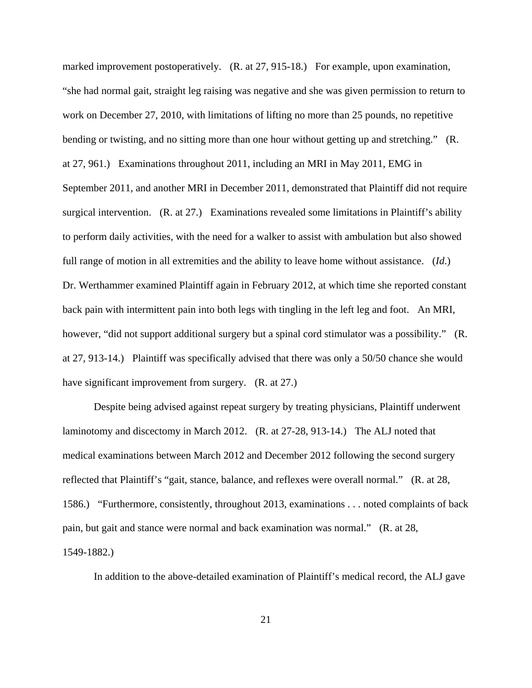marked improvement postoperatively. (R. at 27, 915-18.) For example, upon examination, "she had normal gait, straight leg raising was negative and she was given permission to return to work on December 27, 2010, with limitations of lifting no more than 25 pounds, no repetitive bending or twisting, and no sitting more than one hour without getting up and stretching." (R. at 27, 961.) Examinations throughout 2011, including an MRI in May 2011, EMG in September 2011, and another MRI in December 2011, demonstrated that Plaintiff did not require surgical intervention. (R. at 27.) Examinations revealed some limitations in Plaintiff's ability to perform daily activities, with the need for a walker to assist with ambulation but also showed full range of motion in all extremities and the ability to leave home without assistance. (*Id*.) Dr. Werthammer examined Plaintiff again in February 2012, at which time she reported constant back pain with intermittent pain into both legs with tingling in the left leg and foot. An MRI, however, "did not support additional surgery but a spinal cord stimulator was a possibility." (R. at 27, 913-14.) Plaintiff was specifically advised that there was only a 50/50 chance she would have significant improvement from surgery. (R. at 27.)

Despite being advised against repeat surgery by treating physicians, Plaintiff underwent laminotomy and discectomy in March 2012. (R. at 27-28, 913-14.) The ALJ noted that medical examinations between March 2012 and December 2012 following the second surgery reflected that Plaintiff's "gait, stance, balance, and reflexes were overall normal." (R. at 28, 1586.) "Furthermore, consistently, throughout 2013, examinations . . . noted complaints of back pain, but gait and stance were normal and back examination was normal." (R. at 28, 1549-1882.)

In addition to the above-detailed examination of Plaintiff's medical record, the ALJ gave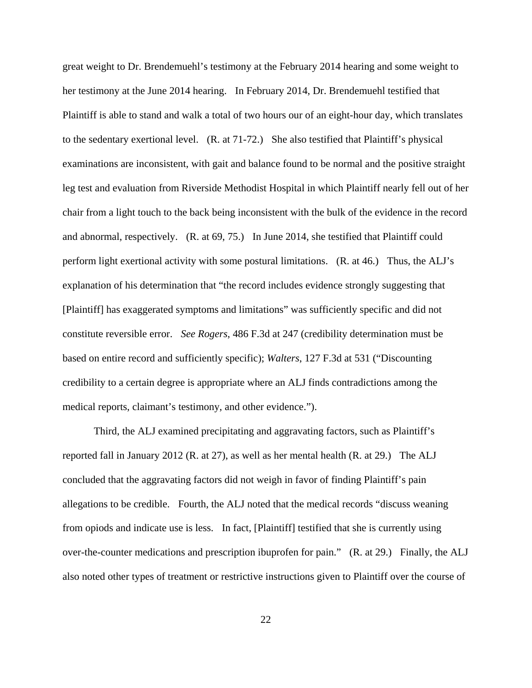great weight to Dr. Brendemuehl's testimony at the February 2014 hearing and some weight to her testimony at the June 2014 hearing. In February 2014, Dr. Brendemuehl testified that Plaintiff is able to stand and walk a total of two hours our of an eight-hour day, which translates to the sedentary exertional level. (R. at 71-72.) She also testified that Plaintiff's physical examinations are inconsistent, with gait and balance found to be normal and the positive straight leg test and evaluation from Riverside Methodist Hospital in which Plaintiff nearly fell out of her chair from a light touch to the back being inconsistent with the bulk of the evidence in the record and abnormal, respectively. (R. at 69, 75.) In June 2014, she testified that Plaintiff could perform light exertional activity with some postural limitations. (R. at 46.) Thus, the ALJ's explanation of his determination that "the record includes evidence strongly suggesting that [Plaintiff] has exaggerated symptoms and limitations" was sufficiently specific and did not constitute reversible error. *See Rogers*, 486 F.3d at 247 (credibility determination must be based on entire record and sufficiently specific); *Walters*, 127 F.3d at 531 ("Discounting credibility to a certain degree is appropriate where an ALJ finds contradictions among the medical reports, claimant's testimony, and other evidence.").

Third, the ALJ examined precipitating and aggravating factors, such as Plaintiff's reported fall in January 2012 (R. at 27), as well as her mental health (R. at 29.) The ALJ concluded that the aggravating factors did not weigh in favor of finding Plaintiff's pain allegations to be credible. Fourth, the ALJ noted that the medical records "discuss weaning from opiods and indicate use is less. In fact, [Plaintiff] testified that she is currently using over-the-counter medications and prescription ibuprofen for pain." (R. at 29.) Finally, the ALJ also noted other types of treatment or restrictive instructions given to Plaintiff over the course of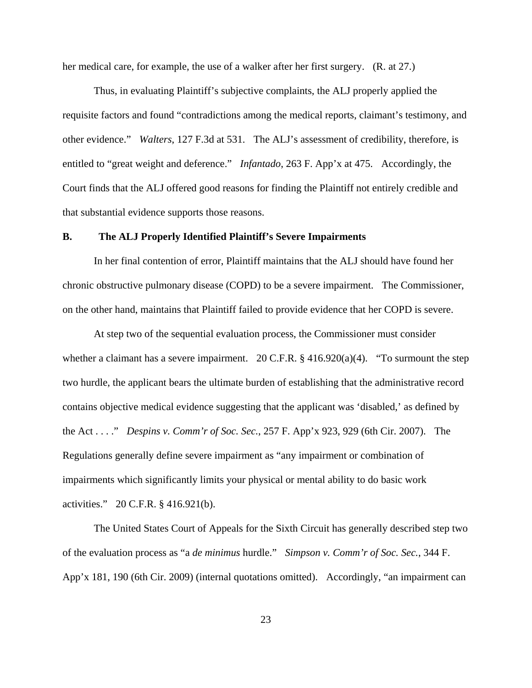her medical care, for example, the use of a walker after her first surgery. (R. at 27.)

Thus, in evaluating Plaintiff's subjective complaints, the ALJ properly applied the requisite factors and found "contradictions among the medical reports, claimant's testimony, and other evidence." *Walters*, 127 F.3d at 531. The ALJ's assessment of credibility, therefore, is entitled to "great weight and deference." *Infantado*, 263 F. App'x at 475. Accordingly, the Court finds that the ALJ offered good reasons for finding the Plaintiff not entirely credible and that substantial evidence supports those reasons.

# **B. The ALJ Properly Identified Plaintiff's Severe Impairments**

 In her final contention of error, Plaintiff maintains that the ALJ should have found her chronic obstructive pulmonary disease (COPD) to be a severe impairment. The Commissioner, on the other hand, maintains that Plaintiff failed to provide evidence that her COPD is severe.

At step two of the sequential evaluation process, the Commissioner must consider whether a claimant has a severe impairment. 20 C.F.R.  $\S$  416.920(a)(4). "To surmount the step two hurdle, the applicant bears the ultimate burden of establishing that the administrative record contains objective medical evidence suggesting that the applicant was 'disabled,' as defined by the Act . . . ." *Despins v. Comm'r of Soc. Sec.*, 257 F. App'x 923, 929 (6th Cir. 2007). The Regulations generally define severe impairment as "any impairment or combination of impairments which significantly limits your physical or mental ability to do basic work activities." 20 C.F.R. § 416.921(b).

The United States Court of Appeals for the Sixth Circuit has generally described step two of the evaluation process as "a *de minimus* hurdle." *Simpson v. Comm'r of Soc. Sec.*, 344 F. App'x 181, 190 (6th Cir. 2009) (internal quotations omitted). Accordingly, "an impairment can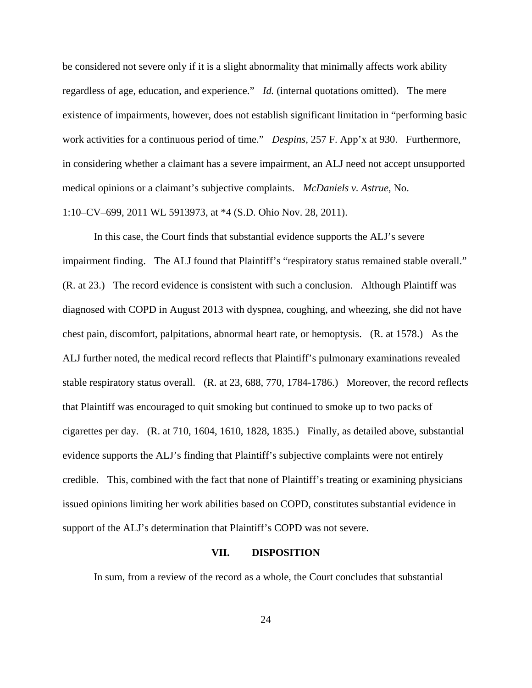be considered not severe only if it is a slight abnormality that minimally affects work ability regardless of age, education, and experience." *Id.* (internal quotations omitted). The mere existence of impairments, however, does not establish significant limitation in "performing basic work activities for a continuous period of time." *Despins*, 257 F. App'x at 930. Furthermore, in considering whether a claimant has a severe impairment, an ALJ need not accept unsupported medical opinions or a claimant's subjective complaints. *McDaniels v. Astrue*, No. 1:10–CV–699, 2011 WL 5913973, at \*4 (S.D. Ohio Nov. 28, 2011).

In this case, the Court finds that substantial evidence supports the ALJ's severe impairment finding. The ALJ found that Plaintiff's "respiratory status remained stable overall." (R. at 23.) The record evidence is consistent with such a conclusion. Although Plaintiff was diagnosed with COPD in August 2013 with dyspnea, coughing, and wheezing, she did not have chest pain, discomfort, palpitations, abnormal heart rate, or hemoptysis. (R. at 1578.) As the ALJ further noted, the medical record reflects that Plaintiff's pulmonary examinations revealed stable respiratory status overall. (R. at 23, 688, 770, 1784-1786.) Moreover, the record reflects that Plaintiff was encouraged to quit smoking but continued to smoke up to two packs of cigarettes per day. (R. at 710, 1604, 1610, 1828, 1835.) Finally, as detailed above, substantial evidence supports the ALJ's finding that Plaintiff's subjective complaints were not entirely credible. This, combined with the fact that none of Plaintiff's treating or examining physicians issued opinions limiting her work abilities based on COPD, constitutes substantial evidence in support of the ALJ's determination that Plaintiff's COPD was not severe.

### **VII. DISPOSITION**

In sum, from a review of the record as a whole, the Court concludes that substantial